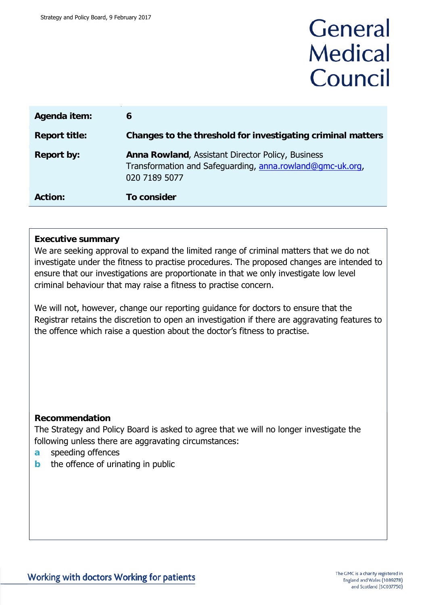# General **Medical** Council

| Agenda item:         | 6                                                                                                                               |
|----------------------|---------------------------------------------------------------------------------------------------------------------------------|
| <b>Report title:</b> | Changes to the threshold for investigating criminal matters                                                                     |
| <b>Report by:</b>    | Anna Rowland, Assistant Director Policy, Business<br>Transformation and Safeguarding, anna.rowland@gmc-uk.org,<br>020 7189 5077 |
| <b>Action:</b>       | To consider                                                                                                                     |

#### **Executive summary**

We are seeking approval to expand the limited range of criminal matters that we do not investigate under the fitness to practise procedures. The proposed changes are intended to ensure that our investigations are proportionate in that we only investigate low level criminal behaviour that may raise a fitness to practise concern.

We will not, however, change our reporting guidance for doctors to ensure that the Registrar retains the discretion to open an investigation if there are aggravating features to the offence which raise a question about the doctor's fitness to practise.

### **Recommendation**

The Strategy and Policy Board is asked to agree that we will no longer investigate the following unless there are aggravating circumstances:

- **a** speeding offences
- **b** the offence of urinating in public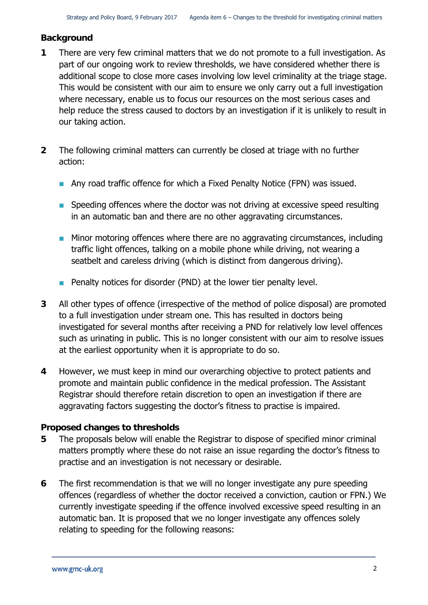### **Background**

- **1** There are very few criminal matters that we do not promote to a full investigation. As part of our ongoing work to review thresholds, we have considered whether there is additional scope to close more cases involving low level criminality at the triage stage. This would be consistent with our aim to ensure we only carry out a full investigation where necessary, enable us to focus our resources on the most serious cases and help reduce the stress caused to doctors by an investigation if it is unlikely to result in our taking action.
- **2** The following criminal matters can currently be closed at triage with no further action:
	- Any road traffic offence for which a Fixed Penalty Notice (FPN) was issued.
	- **Speeding offences where the doctor was not driving at excessive speed resulting** in an automatic ban and there are no other aggravating circumstances.
	- **Minor motoring offences where there are no aggravating circumstances, including** traffic light offences, talking on a mobile phone while driving, not wearing a seatbelt and careless driving (which is distinct from dangerous driving).
	- **Penalty notices for disorder (PND) at the lower tier penalty level.**
- **3** All other types of offence (irrespective of the method of police disposal) are promoted to a full investigation under stream one. This has resulted in doctors being investigated for several months after receiving a PND for relatively low level offences such as urinating in public. This is no longer consistent with our aim to resolve issues at the earliest opportunity when it is appropriate to do so.
- **4** However, we must keep in mind our overarching objective to protect patients and promote and maintain public confidence in the medical profession. The Assistant Registrar should therefore retain discretion to open an investigation if there are aggravating factors suggesting the doctor's fitness to practise is impaired.

### **Proposed changes to thresholds**

- **5** The proposals below will enable the Registrar to dispose of specified minor criminal matters promptly where these do not raise an issue regarding the doctor's fitness to practise and an investigation is not necessary or desirable.
- **6** The first recommendation is that we will no longer investigate any pure speeding offences (regardless of whether the doctor received a conviction, caution or FPN.) We currently investigate speeding if the offence involved excessive speed resulting in an automatic ban. It is proposed that we no longer investigate any offences solely relating to speeding for the following reasons: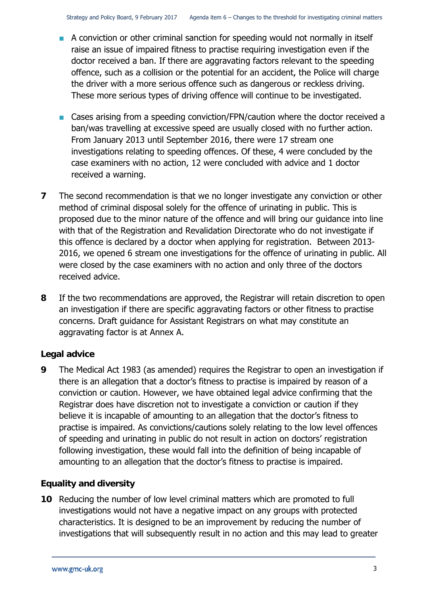- A conviction or other criminal sanction for speeding would not normally in itself raise an issue of impaired fitness to practise requiring investigation even if the doctor received a ban. If there are aggravating factors relevant to the speeding offence, such as a collision or the potential for an accident, the Police will charge the driver with a more serious offence such as dangerous or reckless driving. These more serious types of driving offence will continue to be investigated.
- Cases arising from a speeding conviction/FPN/caution where the doctor received a ban/was travelling at excessive speed are usually closed with no further action. From January 2013 until September 2016, there were 17 stream one investigations relating to speeding offences. Of these, 4 were concluded by the case examiners with no action, 12 were concluded with advice and 1 doctor received a warning.
- **7** The second recommendation is that we no longer investigate any conviction or other method of criminal disposal solely for the offence of urinating in public. This is proposed due to the minor nature of the offence and will bring our guidance into line with that of the Registration and Revalidation Directorate who do not investigate if this offence is declared by a doctor when applying for registration. Between 2013- 2016, we opened 6 stream one investigations for the offence of urinating in public. All were closed by the case examiners with no action and only three of the doctors received advice.
- **8** If the two recommendations are approved, the Registrar will retain discretion to open an investigation if there are specific aggravating factors or other fitness to practise concerns. Draft guidance for Assistant Registrars on what may constitute an aggravating factor is at Annex A.

### **Legal advice**

**9** The Medical Act 1983 (as amended) requires the Registrar to open an investigation if there is an allegation that a doctor's fitness to practise is impaired by reason of a conviction or caution. However, we have obtained legal advice confirming that the Registrar does have discretion not to investigate a conviction or caution if they believe it is incapable of amounting to an allegation that the doctor's fitness to practise is impaired. As convictions/cautions solely relating to the low level offences of speeding and urinating in public do not result in action on doctors' registration following investigation, these would fall into the definition of being incapable of amounting to an allegation that the doctor's fitness to practise is impaired.

### **Equality and diversity**

**10** Reducing the number of low level criminal matters which are promoted to full investigations would not have a negative impact on any groups with protected characteristics. It is designed to be an improvement by reducing the number of investigations that will subsequently result in no action and this may lead to greater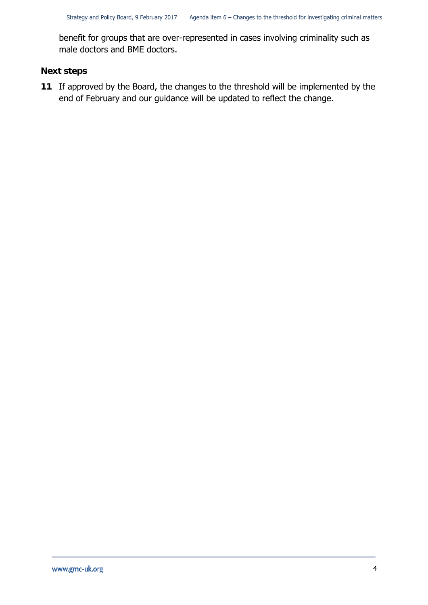benefit for groups that are over-represented in cases involving criminality such as male doctors and BME doctors.

### **Next steps**

**11** If approved by the Board, the changes to the threshold will be implemented by the end of February and our guidance will be updated to reflect the change.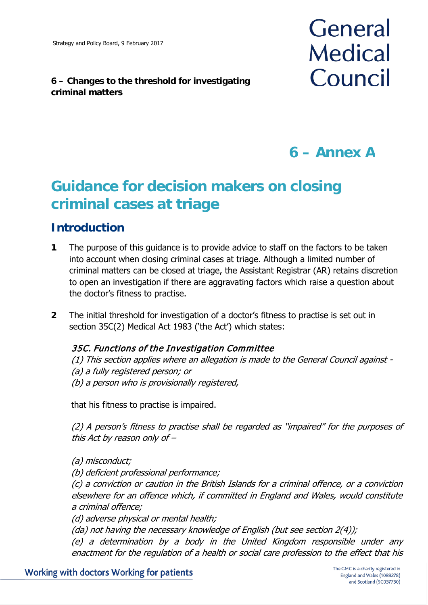### **6 – Changes to the threshold for investigating criminal matters**



# **6 – Annex A**

# **Guidance for decision makers on closing criminal cases at triage**

### **Introduction**

- **1** The purpose of this guidance is to provide advice to staff on the factors to be taken into account when closing criminal cases at triage. Although a limited number of criminal matters can be closed at triage, the Assistant Registrar (AR) retains discretion to open an investigation if there are aggravating factors which raise a question about the doctor's fitness to practise.
- **2** The initial threshold for investigation of a doctor's fitness to practise is set out in section 35C(2) Medical Act 1983 ('the Act') which states:

### 35C. Functions of the Investigation Committee

(1) This section applies where an allegation is made to the General Council against - (a) a fully registered person; or (b) a person who is provisionally registered,

that his fitness to practise is impaired.

(2) A person's fitness to practise shall be regarded as "impaired" for the purposes of this Act by reason only of –

(a) misconduct;

(b) deficient professional performance;

(c) a conviction or caution in the British Islands for a criminal offence, or a conviction elsewhere for an offence which, if committed in England and Wales, would constitute a criminal offence;

(d) adverse physical or mental health;

(da) not having the necessary knowledge of English (but see section 2(4));

(e) a determination by a body in the United Kingdom responsible under any enactment for the regulation of a health or social care profession to the effect that his

Working with doctors Working for patients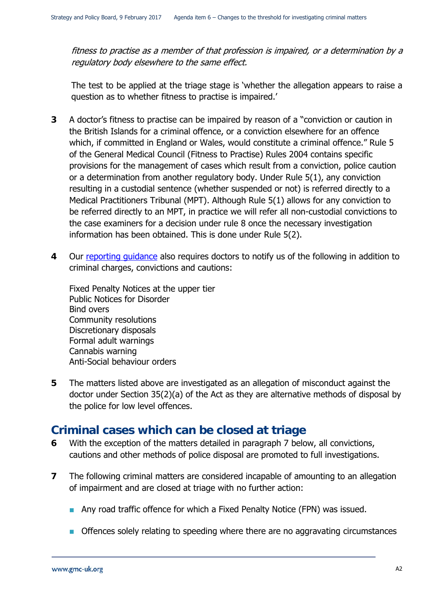fitness to practise as a member of that profession is impaired, or a determination by a regulatory body elsewhere to the same effect.

The test to be applied at the triage stage is 'whether the allegation appears to raise a question as to whether fitness to practise is impaired.'

- **3** A doctor's fitness to practise can be impaired by reason of a "conviction or caution in the British Islands for a criminal offence, or a conviction elsewhere for an offence which, if committed in England or Wales, would constitute a criminal offence." Rule 5 of the General Medical Council (Fitness to Practise) Rules 2004 contains specific provisions for the management of cases which result from a conviction, police caution or a determination from another regulatory body. Under Rule 5(1), any conviction resulting in a custodial sentence (whether suspended or not) is referred directly to a Medical Practitioners Tribunal (MPT). Although Rule 5(1) allows for any conviction to be referred directly to an MPT, in practice we will refer all non-custodial convictions to the case examiners for a decision under rule 8 once the necessary investigation information has been obtained. This is done under Rule 5(2).
- **4** Our [reporting guidance](http://www.gmc-uk.org/guidance/ethical_guidance/30265.asp) also requires doctors to notify us of the following in addition to criminal charges, convictions and cautions:

Fixed Penalty Notices at the upper tier Public Notices for Disorder Bind overs Community resolutions Discretionary disposals Formal adult warnings Cannabis warning Anti-Social behaviour orders

**5** The matters listed above are investigated as an allegation of misconduct against the doctor under Section 35(2)(a) of the Act as they are alternative methods of disposal by the police for low level offences.

### **Criminal cases which can be closed at triage**

- **6** With the exception of the matters detailed in paragraph 7 below, all convictions, cautions and other methods of police disposal are promoted to full investigations.
- **7** The following criminal matters are considered incapable of amounting to an allegation of impairment and are closed at triage with no further action:
	- Any road traffic offence for which a Fixed Penalty Notice (FPN) was issued.
	- **Offences solely relating to speeding where there are no aggravating circumstances**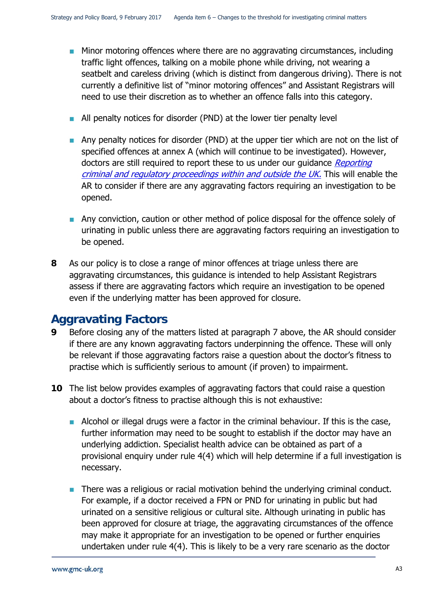- **Minor motoring offences where there are no aggravating circumstances, including** traffic light offences, talking on a mobile phone while driving, not wearing a seatbelt and careless driving (which is distinct from dangerous driving). There is not currently a definitive list of "minor motoring offences" and Assistant Registrars will need to use their discretion as to whether an offence falls into this category.
- All penalty notices for disorder (PND) at the lower tier penalty level
- Any penalty notices for disorder (PND) at the upper tier which are not on the list of specified offences at annex A (which will continue to be investigated). However, doctors are still required to report these to us under our quidance Reporting [criminal and regulatory proceedings within and outside the UK.](http://www.gmc-uk.org/guidance/ethical_guidance/30265.asp) This will enable the AR to consider if there are any aggravating factors requiring an investigation to be opened.
- **Any conviction, caution or other method of police disposal for the offence solely of** urinating in public unless there are aggravating factors requiring an investigation to be opened.
- **8** As our policy is to close a range of minor offences at triage unless there are aggravating circumstances, this guidance is intended to help Assistant Registrars assess if there are aggravating factors which require an investigation to be opened even if the underlying matter has been approved for closure.

### **Aggravating Factors**

- **9** Before closing any of the matters listed at paragraph 7 above, the AR should consider if there are any known aggravating factors underpinning the offence. These will only be relevant if those aggravating factors raise a question about the doctor's fitness to practise which is sufficiently serious to amount (if proven) to impairment.
- **10** The list below provides examples of aggravating factors that could raise a question about a doctor's fitness to practise although this is not exhaustive:
	- Alcohol or illegal drugs were a factor in the criminal behaviour. If this is the case, further information may need to be sought to establish if the doctor may have an underlying addiction. Specialist health advice can be obtained as part of a provisional enquiry under rule 4(4) which will help determine if a full investigation is necessary.
	- **There was a religious or racial motivation behind the underlying criminal conduct.** For example, if a doctor received a FPN or PND for urinating in public but had urinated on a sensitive religious or cultural site. Although urinating in public has been approved for closure at triage, the aggravating circumstances of the offence may make it appropriate for an investigation to be opened or further enquiries undertaken under rule 4(4). This is likely to be a very rare scenario as the doctor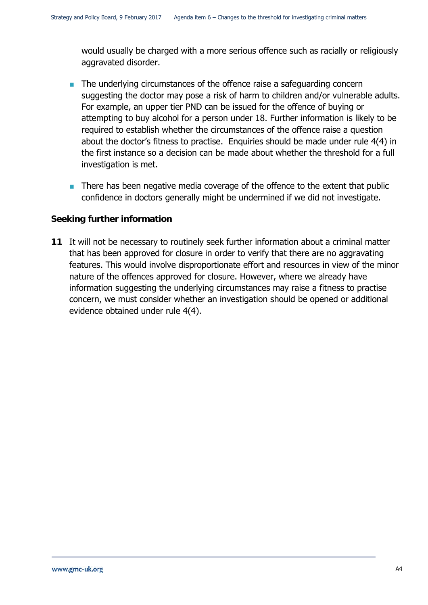would usually be charged with a more serious offence such as racially or religiously aggravated disorder.

- $\blacksquare$  The underlying circumstances of the offence raise a safeguarding concern suggesting the doctor may pose a risk of harm to children and/or vulnerable adults. For example, an upper tier PND can be issued for the offence of buying or attempting to buy alcohol for a person under 18. Further information is likely to be required to establish whether the circumstances of the offence raise a question about the doctor's fitness to practise. Enquiries should be made under rule 4(4) in the first instance so a decision can be made about whether the threshold for a full investigation is met.
- **There has been negative media coverage of the offence to the extent that public** confidence in doctors generally might be undermined if we did not investigate.

#### **Seeking further information**

**11** It will not be necessary to routinely seek further information about a criminal matter that has been approved for closure in order to verify that there are no aggravating features. This would involve disproportionate effort and resources in view of the minor nature of the offences approved for closure. However, where we already have information suggesting the underlying circumstances may raise a fitness to practise concern, we must consider whether an investigation should be opened or additional evidence obtained under rule 4(4).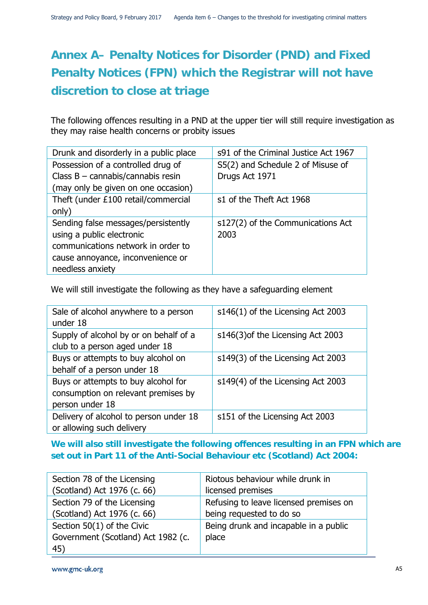## **Annex A– Penalty Notices for Disorder (PND) and Fixed Penalty Notices (FPN) which the Registrar will not have discretion to close at triage**

The following offences resulting in a PND at the upper tier will still require investigation as they may raise health concerns or probity issues

| Drunk and disorderly in a public place | s91 of the Criminal Justice Act 1967 |
|----------------------------------------|--------------------------------------|
| Possession of a controlled drug of     | S5(2) and Schedule 2 of Misuse of    |
| Class $B - cannabis/cannabis$ resin    | Drugs Act 1971                       |
| (may only be given on one occasion)    |                                      |
| Theft (under £100 retail/commercial    | s1 of the Theft Act 1968             |
| only)                                  |                                      |
| Sending false messages/persistently    | s127(2) of the Communications Act    |
| using a public electronic              | 2003                                 |
| communications network in order to     |                                      |
| cause annoyance, inconvenience or      |                                      |
| needless anxiety                       |                                      |

We will still investigate the following as they have a safeguarding element

| Sale of alcohol anywhere to a person<br>under 18                                              | s146(1) of the Licensing Act 2003 |
|-----------------------------------------------------------------------------------------------|-----------------------------------|
| Supply of alcohol by or on behalf of a<br>club to a person aged under 18                      | s146(3) of the Licensing Act 2003 |
| Buys or attempts to buy alcohol on<br>behalf of a person under 18                             | s149(3) of the Licensing Act 2003 |
| Buys or attempts to buy alcohol for<br>consumption on relevant premises by<br>person under 18 | s149(4) of the Licensing Act 2003 |
| Delivery of alcohol to person under 18<br>or allowing such delivery                           | s151 of the Licensing Act 2003    |

### **We will also still investigate the following offences resulting in an FPN which are set out in Part 11 of the Anti-Social Behaviour etc (Scotland) Act 2004:**

| Section 78 of the Licensing        | Riotous behaviour while drunk in       |
|------------------------------------|----------------------------------------|
| (Scotland) Act 1976 (c. 66)        | licensed premises                      |
| Section 79 of the Licensing        | Refusing to leave licensed premises on |
| (Scotland) Act 1976 (c. 66)        | being requested to do so               |
| Section $50(1)$ of the Civic       | Being drunk and incapable in a public  |
| Government (Scotland) Act 1982 (c. | place                                  |
| 45)                                |                                        |